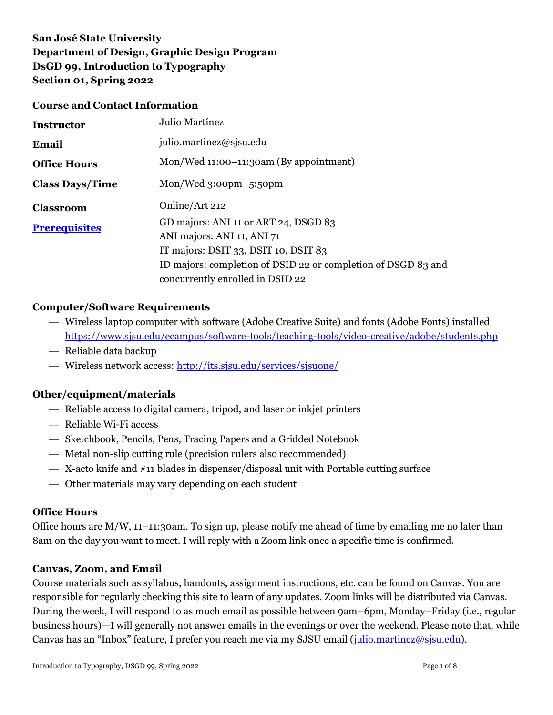# **San José State University Department of Design, Graphic Design Program DsGD 99, Introduction to Typography Section 01, Spring 2022**

#### **Course and Contact Information**

| <b>Instructor</b>      | Julio Martínez                                                                                                                                                                                                    |
|------------------------|-------------------------------------------------------------------------------------------------------------------------------------------------------------------------------------------------------------------|
| Email                  | julio.martinez@sjsu.edu                                                                                                                                                                                           |
| <b>Office Hours</b>    | Mon/Wed 11:00-11:30am (By appointment)                                                                                                                                                                            |
| <b>Class Days/Time</b> | $Mon/Wed_3:oopm-5:50pm$                                                                                                                                                                                           |
| <b>Classroom</b>       | Online/Art 212                                                                                                                                                                                                    |
| <b>Prerequisites</b>   | GD majors: ANI 11 or ART 24, DSGD 83<br>ANI majors: ANI 11, ANI 71<br>IT majors: DSIT 33, DSIT 10, DSIT $83$<br>ID majors: completion of DSID 22 or completion of DSGD 83 and<br>concurrently enrolled in DSID 22 |

#### **Computer/Software Requirements**

- Wireless laptop computer with software (Adobe Creative Suite) and fonts (Adobe Fonts) installed [https://www.sjsu.edu/ecampus/software-tools/teaching-tools/video-creative/adobe/students.php](mailto:https://www.sjsu.edu/ecampus/software-tools/teaching-tools/video-creative/adobe/students.php)
- Reliable data backup
- Wireless network access:<http://its.sjsu.edu/services/sjsuone/>

#### **Other/equipment/materials**

- Reliable access to digital camera, tripod, and laser or inkjet printers
- Reliable Wi-Fi access
- Sketchbook, Pencils, Pens, Tracing Papers and a Gridded Notebook
- Metal non-slip cutting rule (precision rulers also recommended)
- X-acto knife and #11 blades in dispenser/disposal unit with Portable cutting surface
- Other materials may vary depending on each student

#### **Office Hours**

Office hours are  $M/W$ , 11–11:30am. To sign up, please notify me ahead of time by emailing me no later than 8am on the day you want to meet. I will reply with a Zoom link once a specific time is confirmed.

#### **Canvas, Zoom, and Email**

Course materials such as syllabus, handouts, assignment instructions, etc. can be found on Canvas. You are responsible for regularly checking this site to learn of any updates. Zoom links will be distributed via Canvas. During the week, I will respond to as much email as possible between 9am–6pm, Monday–Friday (i.e., regular business hours)—I will generally not answer emails in the evenings or over the weekend. Please note that, while Canvas has an "Inbox" feature, I prefer you reach me via my SJSU email [\(julio.martinez@sjsu.edu\)](mailto:julio.martinez@sjsu.edu).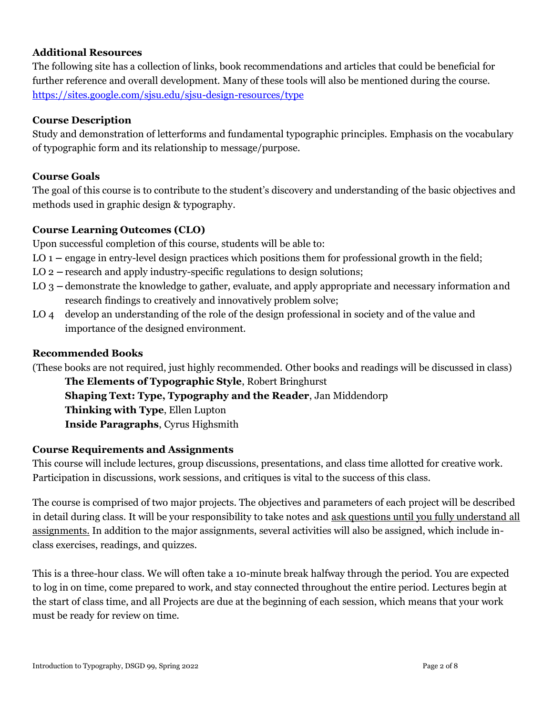### **Additional Resources**

The following site has a collection of links, book recommendations and articles that could be beneficial for further reference and overall development. Many of these tools will also be mentioned during the course. <https://sites.google.com/sjsu.edu/sjsu-design-resources/type>

### **Course Description**

Study and demonstration of letterforms and fundamental typographic principles. Emphasis on the vocabulary of typographic form and its relationship to message/purpose.

### **Course Goals**

The goal of this course is to contribute to the student's discovery and understanding of the basic objectives and methods used in graphic design & typography.

### **Course Learning Outcomes (CLO)**

Upon successful completion of this course, students will be able to:

- LO 1 **–** engage in entry-level design practices which positions them for professional growth in the field;
- LO 2 **–** research and apply industry-specific regulations to design solutions;
- LO 3 **–** demonstrate the knowledge to gather, evaluate, and apply appropriate and necessary information and research findings to creatively and innovatively problem solve;
- LO 4 develop an understanding of the role of the design professional in society and of the value and importance of the designed environment.

#### **Recommended Books**

(These books are not required, just highly recommended. Other books and readings will be discussed in class)

**The Elements of Typographic Style**, Robert Bringhurst **Shaping Text: Type, Typography and the Reader**, Jan Middendorp **Thinking with Type**, Ellen Lupton **Inside Paragraphs**, Cyrus Highsmith

#### **Course Requirements and Assignments**

This course will include lectures, group discussions, presentations, and class time allotted for creative work. Participation in discussions, work sessions, and critiques is vital to the success of this class.

The course is comprised of two major projects. The objectives and parameters of each project will be described in detail during class. It will be your responsibility to take notes and ask questions until you fully understand all assignments. In addition to the major assignments, several activities will also be assigned, which include inclass exercises, readings, and quizzes.

This is a three-hour class. We will often take a 10-minute break halfway through the period. You are expected to log in on time, come prepared to work, and stay connected throughout the entire period. Lectures begin at the start of class time, and all Projects are due at the beginning of each session, which means that your work must be ready for review on time.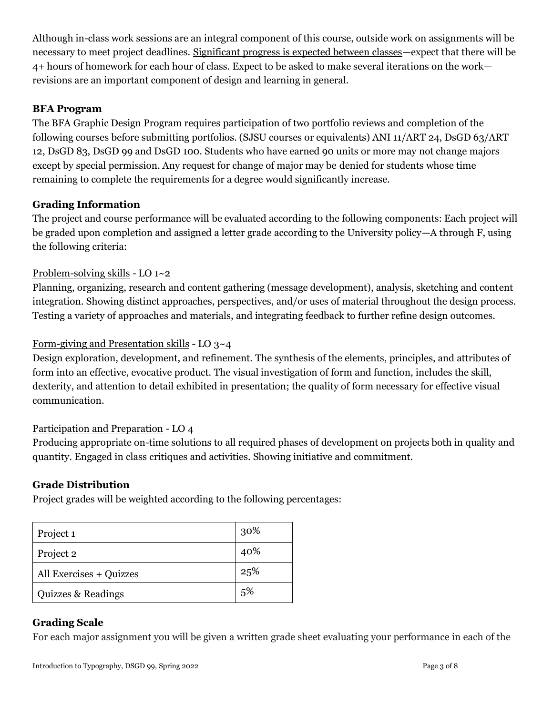Although in-class work sessions are an integral component of this course, outside work on assignments will be necessary to meet project deadlines. Significant progress is expected between classes—expect that there will be 4+ hours of homework for each hour of class. Expect to be asked to make several iterations on the work revisions are an important component of design and learning in general.

## **BFA Program**

The BFA Graphic Design Program requires participation of two portfolio reviews and completion of the following courses before submitting portfolios. (SJSU courses or equivalents) ANI 11/ART 24, DsGD 63/ART 12, DsGD 83, DsGD 99 and DsGD 100. Students who have earned 90 units or more may not change majors except by special permission. Any request for change of major may be denied for students whose time remaining to complete the requirements for a degree would significantly increase.

# **Grading Information**

The project and course performance will be evaluated according to the following components: Each project will be graded upon completion and assigned a letter grade according to the University policy—A through F, using the following criteria:

# Problem-solving skills - LO 1~2

Planning, organizing, research and content gathering (message development), analysis, sketching and content integration. Showing distinct approaches, perspectives, and/or uses of material throughout the design process. Testing a variety of approaches and materials, and integrating feedback to further refine design outcomes.

# Form-giving and Presentation skills - LO 3~4

Design exploration, development, and refinement. The synthesis of the elements, principles, and attributes of form into an effective, evocative product. The visual investigation of form and function, includes the skill, dexterity, and attention to detail exhibited in presentation; the quality of form necessary for effective visual communication.

## Participation and Preparation - LO 4

Producing appropriate on-time solutions to all required phases of development on projects both in quality and quantity. Engaged in class critiques and activities. Showing initiative and commitment.

## **Grade Distribution**

Project grades will be weighted according to the following percentages:

| Project 1               | 30% |
|-------------------------|-----|
| Project 2               | 40% |
| All Exercises + Quizzes | 25% |
| Quizzes & Readings      | 5%  |

## **Grading Scale**

For each major assignment you will be given a written grade sheet evaluating your performance in each of the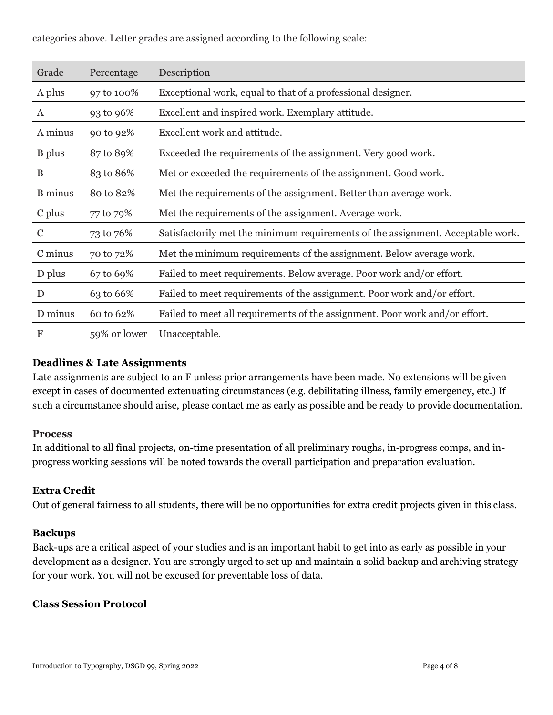### categories above. Letter grades are assigned according to the following scale:

| Grade          | Percentage   | Description                                                                     |
|----------------|--------------|---------------------------------------------------------------------------------|
| A plus         | 97 to 100%   | Exceptional work, equal to that of a professional designer.                     |
| $\mathbf{A}$   | 93 to 96%    | Excellent and inspired work. Exemplary attitude.                                |
| A minus        | 90 to 92%    | Excellent work and attitude.                                                    |
| B plus         | 87 to 89%    | Exceeded the requirements of the assignment. Very good work.                    |
| B              | 83 to 86%    | Met or exceeded the requirements of the assignment. Good work.                  |
| <b>B</b> minus | 80 to 82%    | Met the requirements of the assignment. Better than average work.               |
| C plus         | 77 to 79%    | Met the requirements of the assignment. Average work.                           |
| $\mathcal{C}$  | 73 to 76%    | Satisfactorily met the minimum requirements of the assignment. Acceptable work. |
| C minus        | 70 to 72%    | Met the minimum requirements of the assignment. Below average work.             |
| D plus         | 67 to 69%    | Failed to meet requirements. Below average. Poor work and/or effort.            |
| D              | 63 to 66%    | Failed to meet requirements of the assignment. Poor work and/or effort.         |
| D minus        | 60 to 62%    | Failed to meet all requirements of the assignment. Poor work and/or effort.     |
| F              | 59% or lower | Unacceptable.                                                                   |

### **Deadlines & Late Assignments**

Late assignments are subject to an F unless prior arrangements have been made. No extensions will be given except in cases of documented extenuating circumstances (e.g. debilitating illness, family emergency, etc.) If such a circumstance should arise, please contact me as early as possible and be ready to provide documentation.

#### **Process**

In additional to all final projects, on-time presentation of all preliminary roughs, in-progress comps, and inprogress working sessions will be noted towards the overall participation and preparation evaluation.

#### **Extra Credit**

Out of general fairness to all students, there will be no opportunities for extra credit projects given in this class.

#### **Backups**

Back-ups are a critical aspect of your studies and is an important habit to get into as early as possible in your development as a designer. You are strongly urged to set up and maintain a solid backup and archiving strategy for your work. You will not be excused for preventable loss of data.

#### **Class Session Protocol**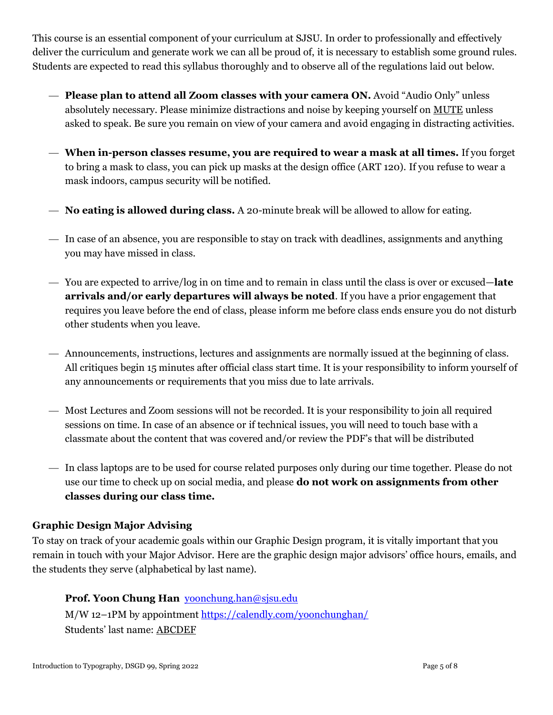This course is an essential component of your curriculum at SJSU. In order to professionally and effectively deliver the curriculum and generate work we can all be proud of, it is necessary to establish some ground rules. Students are expected to read this syllabus thoroughly and to observe all of the regulations laid out below.

- **Please plan to attend all Zoom classes with your camera ON.** Avoid "Audio Only" unless absolutely necessary. Please minimize distractions and noise by keeping yourself on MUTE unless asked to speak. Be sure you remain on view of your camera and avoid engaging in distracting activities.
- **When in-person classes resume, you are required to wear a mask at all times.** If you forget to bring a mask to class, you can pick up masks at the design office (ART 120). If you refuse to wear a mask indoors, campus security will be notified.
- **No eating is allowed during class.** A 20-minute break will be allowed to allow for eating.
- In case of an absence, you are responsible to stay on track with deadlines, assignments and anything you may have missed in class.
- You are expected to arrive/log in on time and to remain in class until the class is over or excused—**late arrivals and/or early departures will always be noted**. If you have a prior engagement that requires you leave before the end of class, please inform me before class ends ensure you do not disturb other students when you leave.
- Announcements, instructions, lectures and assignments are normally issued at the beginning of class. All critiques begin 15 minutes after official class start time. It is your responsibility to inform yourself of any announcements or requirements that you miss due to late arrivals.
- Most Lectures and Zoom sessions will not be recorded. It is your responsibility to join all required sessions on time. In case of an absence or if technical issues, you will need to touch base with a classmate about the content that was covered and/or review the PDF's that will be distributed
- In class laptops are to be used for course related purposes only during our time together. Please do not use our time to check up on social media, and please **do not work on assignments from other classes during our class time.**

## **Graphic Design Major Advising**

To stay on track of your academic goals within our Graphic Design program, it is vitally important that you remain in touch with your Major Advisor. Here are the graphic design major advisors' office hours, emails, and the students they serve (alphabetical by last name).

# **Prof. Yoon Chung Han** [yoonchung.han@sjsu.edu](mailto:yoonchung.han@sjsu.edu)

M/W 12–1PM by appointmen[t https://calendly.com/yoonchunghan/](https://calendly.com/yoonchunghan/) Students' last name: ABCDEF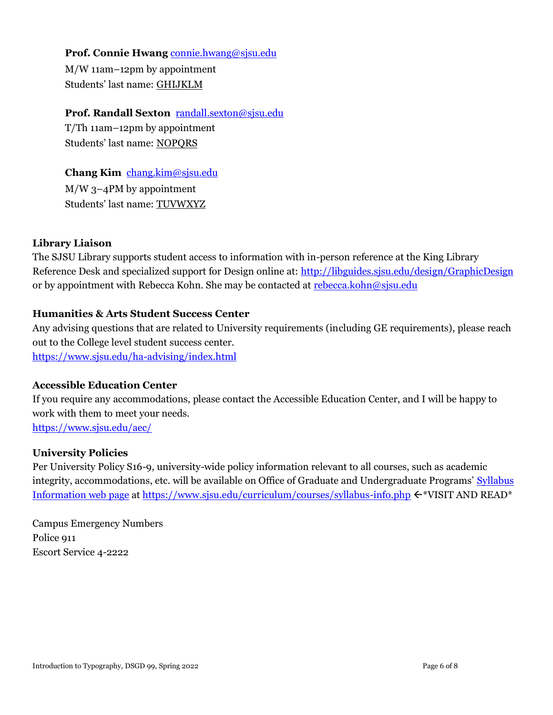## Prof. Connie Hwang [connie.hwang@sjsu.edu](mailto:connie.hwang@sjsu.edu)

M/W 11am–12pm by appointment Students' last name: GHIJKLM

## **Prof. Randall Sexton** [randall.sexton@sjsu.edu](mailto:randall.sexton@sjsu.edu)

T/Th 11am–12pm by appointment Students' last name: NOPQRS

**Chang Kim** [chang.kim@sjsu.edu](mailto:chang.kim@sjsu.edu) M/W 3–4PM by appointment

Students' last name: TUVWXYZ

# **Library Liaison**

The SJSU Library supports student access to information with in-person reference at the King Library Reference Desk and specialized support for Design online at:<http://libguides.sjsu.edu/design/GraphicDesign> or by appointment with Rebecca Kohn. She may be contacted at [rebecca.kohn@sjsu.edu](mailto:rebecca.kohn@sjsu.edu)

## **Humanities & Arts Student Success Center**

Any advising questions that are related to University requirements (including GE requirements), please reach out to the College level student success center.

<https://www.sjsu.edu/ha-advising/index.html>

## **Accessible Education Center**

If you require any accommodations, please contact the Accessible Education Center, and I will be happy to work with them to meet your needs. <https://www.sjsu.edu/aec/>

## **University Policies**

Per University Policy S16-9, university-wide policy information relevant to all courses, such as academic integrity, accommodations, etc. will be available on Office of Graduate and Undergraduate Programs' Syllabus [Information web page](http://www.sjsu.edu/gup/syllabusinfo/) at <https://www.sjsu.edu/curriculum/courses/syllabus-info.php>  $\leftarrow^*VISIT AND READ*$ 

Campus Emergency Numbers Police 911 Escort Service 4-2222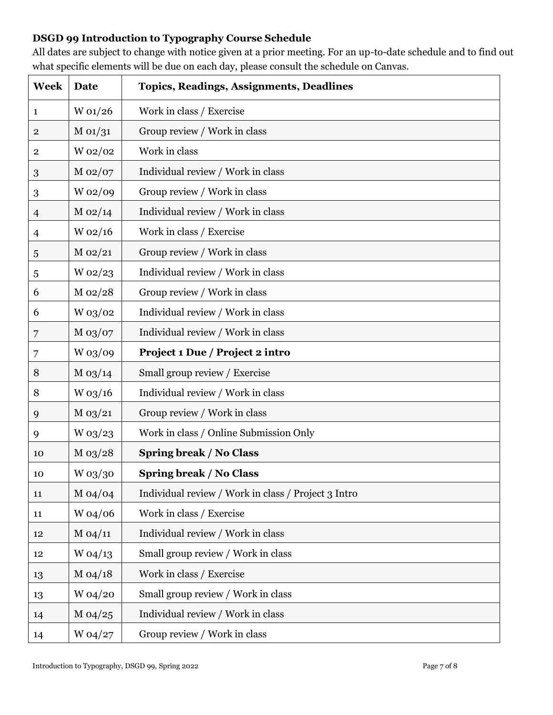# **DSGD 99 Introduction to Typography Course Schedule**

All dates are subject to change with notice given at a prior meeting. For an up-to-date schedule and to find out what specific elements will be due on each day, please consult the schedule on Canvas.

| <b>Week</b>    | Date        | <b>Topics, Readings, Assignments, Deadlines</b>     |
|----------------|-------------|-----------------------------------------------------|
| $\mathbf{1}$   | W 01/26     | Work in class / Exercise                            |
| $\overline{2}$ | M 01/31     | Group review / Work in class                        |
| 2              | W 02/02     | Work in class                                       |
| 3              | M 02/07     | Individual review / Work in class                   |
| 3              | W 02/09     | Group review / Work in class                        |
| $\overline{4}$ | $M_{02/14}$ | Individual review / Work in class                   |
| $\overline{4}$ | $W_02/16$   | Work in class / Exercise                            |
| 5              | $M_{02/21}$ | Group review / Work in class                        |
| 5              | W 02/23     | Individual review / Work in class                   |
| 6              | M 02/28     | Group review / Work in class                        |
| 6              | W 03/02     | Individual review / Work in class                   |
| 7              | $M_{03}/07$ | Individual review / Work in class                   |
| 7              | W 03/09     | Project 1 Due / Project 2 intro                     |
| 8              | $M_{03/14}$ | Small group review / Exercise                       |
| 8              | $W$ 03/16   | Individual review / Work in class                   |
| 9              | $M_{03/21}$ | Group review / Work in class                        |
| 9              | $W$ 03/23   | Work in class / Online Submission Only              |
| 10             | $M_{03/28}$ | <b>Spring break / No Class</b>                      |
| 10             | $W$ 03/30   | <b>Spring break / No Class</b>                      |
| 11             | M 04/04     | Individual review / Work in class / Project 3 Intro |
| 11             | W 04/06     | Work in class / Exercise                            |
| 12             | M 04/11     | Individual review / Work in class                   |
| 12             | $W$ 04/13   | Small group review / Work in class                  |
| 13             | $M_{04/18}$ | Work in class / Exercise                            |
| 13             | W 04/20     | Small group review / Work in class                  |
| 14             | $M_{04/25}$ | Individual review / Work in class                   |
| 14             | W 04/27     | Group review / Work in class                        |